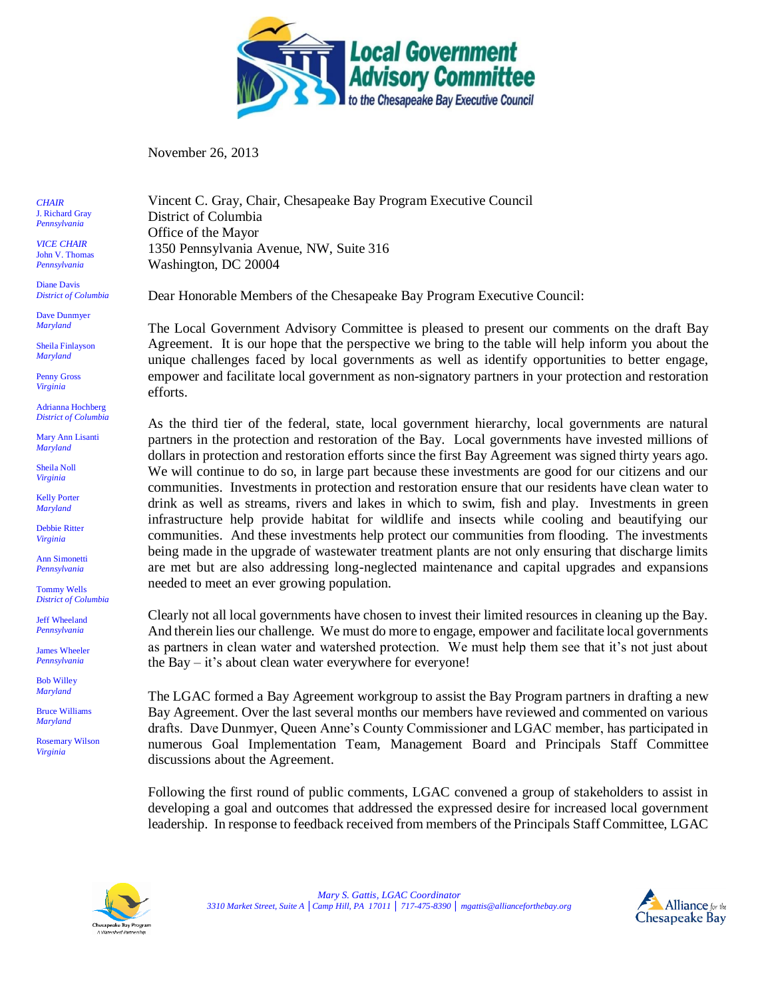

November 26, 2013

*CHAIR* J. Richard Gray *Pennsylvania*

*VICE CHAIR* John V. Thomas *Pennsylvania*

Diane Davis *District of Columbia*

Dave Dunmyer *Maryland*

Sheila Finlayson *Maryland*

Penny Gross *Virginia*

Adrianna Hochberg *District of Columbia*

Mary Ann Lisanti *Maryland*

Sheila Noll *Virginia*

Kelly Porter *Maryland*

Debbie Ritter *Virginia*

Ann Simonetti *Pennsylvania*

Tommy Wells *District of Columbia*

Jeff Wheeland *Pennsylvania*

James Wheeler *Pennsylvania* 

Bob Willey *Maryland*

Bruce Williams *Maryland*

Rosemary Wilson *Virginia*

Vincent C. Gray, Chair, Chesapeake Bay Program Executive Council District of Columbia Office of the Mayor 1350 Pennsylvania Avenue, NW, Suite 316 Washington, DC 20004

Dear Honorable Members of the Chesapeake Bay Program Executive Council:

The Local Government Advisory Committee is pleased to present our comments on the draft Bay Agreement. It is our hope that the perspective we bring to the table will help inform you about the unique challenges faced by local governments as well as identify opportunities to better engage, empower and facilitate local government as non-signatory partners in your protection and restoration efforts.

As the third tier of the federal, state, local government hierarchy, local governments are natural partners in the protection and restoration of the Bay. Local governments have invested millions of dollars in protection and restoration efforts since the first Bay Agreement was signed thirty years ago. We will continue to do so, in large part because these investments are good for our citizens and our communities. Investments in protection and restoration ensure that our residents have clean water to drink as well as streams, rivers and lakes in which to swim, fish and play. Investments in green infrastructure help provide habitat for wildlife and insects while cooling and beautifying our communities. And these investments help protect our communities from flooding. The investments being made in the upgrade of wastewater treatment plants are not only ensuring that discharge limits are met but are also addressing long-neglected maintenance and capital upgrades and expansions needed to meet an ever growing population.

Clearly not all local governments have chosen to invest their limited resources in cleaning up the Bay. And therein lies our challenge. We must do more to engage, empower and facilitate local governments as partners in clean water and watershed protection. We must help them see that it's not just about the Bay – it's about clean water everywhere for everyone!

The LGAC formed a Bay Agreement workgroup to assist the Bay Program partners in drafting a new Bay Agreement. Over the last several months our members have reviewed and commented on various drafts. Dave Dunmyer, Queen Anne's County Commissioner and LGAC member, has participated in numerous Goal Implementation Team, Management Board and Principals Staff Committee discussions about the Agreement.

Following the first round of public comments, LGAC convened a group of stakeholders to assist in developing a goal and outcomes that addressed the expressed desire for increased local government leadership. In response to feedback received from members of the Principals Staff Committee, LGAC